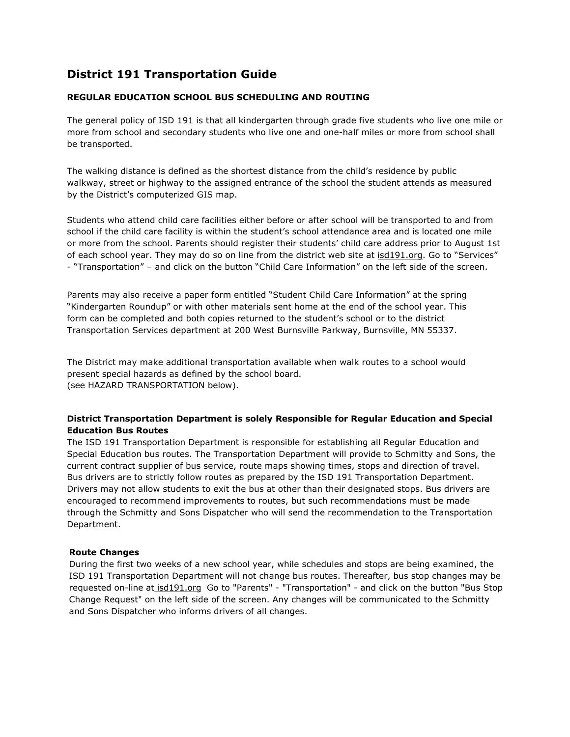# **District 191 Transportation Guide**

# **REGULAR EDUCATION SCHOOL BUS SCHEDULING AND ROUTING**

The general policy of ISD 191 is that all kindergarten through grade five students who live one mile or more from school and secondary students who live one and one-half miles or more from school shall be transported.

The walking distance is defined as the shortest distance from the child's residence by public walkway, street or highway to the assigned entrance of the school the student attends as measured by the District's computerized GIS map.

Students who attend child care facilities either before or after school will be transported to and from school if the child care facility is within the student's school attendance area and is located one mile or more from the school. Parents should register their students' child care address prior to August 1st of each school year. They may do so on line from the district web site at isd191.org. Go to "Services" - "Transportation" – and click on the button "Child Care Information" on the left side of the screen.

Parents may also receive a paper form entitled "Student Child Care Information" at the spring "Kindergarten Roundup" or with other materials sent home at the end of the school year. This form can be completed and both copies returned to the student's school or to the district Transportation Services department at 200 West Burnsville Parkway, Burnsville, MN 55337.

The District may make additional transportation available when walk routes to a school would present special hazards as defined by the school board. (see HAZARD TRANSPORTATION below).

## **District Transportation Department is solely Responsible for Regular Education and Special Education Bus Routes**

The ISD 191 Transportation Department is responsible for establishing all Regular Education and Special Education bus routes. The Transportation Department will provide to Schmitty and Sons, the current contract supplier of bus service, route maps showing times, stops and direction of travel. Bus drivers are to strictly follow routes as prepared by the ISD 191 Transportation Department. Drivers may not allow students to exit the bus at other than their designated stops. Bus drivers are encouraged to recommend improvements to routes, but such recommendations must be made through the Schmitty and Sons Dispatcher who will send the recommendation to the Transportation Department.

# **Route Changes**

During the first two weeks of a new school year, while schedules and stops are being examined, the ISD 191 Transportation Department will not change bus routes. Thereafter, bus stop changes may be requested on-line at isd191.org Go to "Parents" - "Transportation" - and click on the button "Bus Stop Change Request" on the left side of the screen. Any changes will be communicated to the Schmitty and Sons Dispatcher who informs drivers of all changes.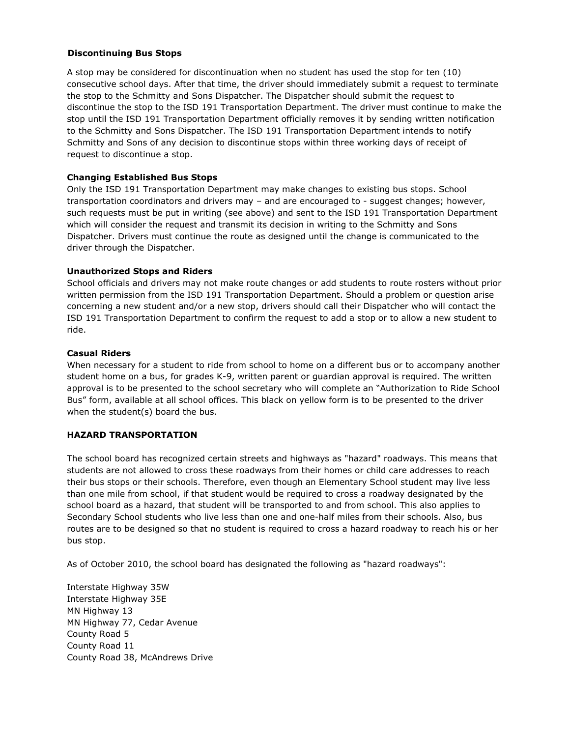## **Discontinuing Bus Stops**

A stop may be considered for discontinuation when no student has used the stop for ten (10) consecutive school days. After that time, the driver should immediately submit a request to terminate the stop to the Schmitty and Sons Dispatcher. The Dispatcher should submit the request to discontinue the stop to the ISD 191 Transportation Department. The driver must continue to make the stop until the ISD 191 Transportation Department officially removes it by sending written notification to the Schmitty and Sons Dispatcher. The ISD 191 Transportation Department intends to notify Schmitty and Sons of any decision to discontinue stops within three working days of receipt of request to discontinue a stop.

#### **Changing Established Bus Stops**

Only the ISD 191 Transportation Department may make changes to existing bus stops. School transportation coordinators and drivers may – and are encouraged to - suggest changes; however, such requests must be put in writing (see above) and sent to the ISD 191 Transportation Department which will consider the request and transmit its decision in writing to the Schmitty and Sons Dispatcher. Drivers must continue the route as designed until the change is communicated to the driver through the Dispatcher.

#### **Unauthorized Stops and Riders**

School officials and drivers may not make route changes or add students to route rosters without prior written permission from the ISD 191 Transportation Department. Should a problem or question arise concerning a new student and/or a new stop, drivers should call their Dispatcher who will contact the ISD 191 Transportation Department to confirm the request to add a stop or to allow a new student to ride.

#### **Casual Riders**

When necessary for a student to ride from school to home on a different bus or to accompany another student home on a bus, for grades K-9, written parent or guardian approval is required. The written approval is to be presented to the school secretary who will complete an "Authorization to Ride School Bus" form, available at all school offices. This black on yellow form is to be presented to the driver when the student(s) board the bus.

## **HAZARD TRANSPORTATION**

The school board has recognized certain streets and highways as "hazard" roadways. This means that students are not allowed to cross these roadways from their homes or child care addresses to reach their bus stops or their schools. Therefore, even though an Elementary School student may live less than one mile from school, if that student would be required to cross a roadway designated by the school board as a hazard, that student will be transported to and from school. This also applies to Secondary School students who live less than one and one-half miles from their schools. Also, bus routes are to be designed so that no student is required to cross a hazard roadway to reach his or her bus stop.

As of October 2010, the school board has designated the following as "hazard roadways":

Interstate Highway 35W Interstate Highway 35E MN Highway 13 MN Highway 77, Cedar Avenue County Road 5 County Road 11 County Road 38, McAndrews Drive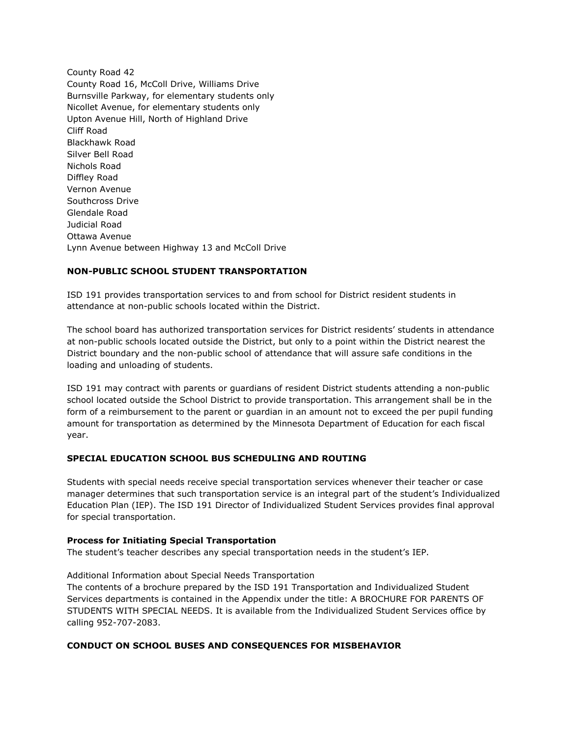County Road 42 County Road 16, McColl Drive, Williams Drive Burnsville Parkway, for elementary students only Nicollet Avenue, for elementary students only Upton Avenue Hill, North of Highland Drive Cliff Road Blackhawk Road Silver Bell Road Nichols Road Diffley Road Vernon Avenue Southcross Drive Glendale Road Judicial Road Ottawa Avenue Lynn Avenue between Highway 13 and McColl Drive

# **NON-PUBLIC SCHOOL STUDENT TRANSPORTATION**

ISD 191 provides transportation services to and from school for District resident students in attendance at non-public schools located within the District.

The school board has authorized transportation services for District residents' students in attendance at non-public schools located outside the District, but only to a point within the District nearest the District boundary and the non-public school of attendance that will assure safe conditions in the loading and unloading of students.

ISD 191 may contract with parents or guardians of resident District students attending a non-public school located outside the School District to provide transportation. This arrangement shall be in the form of a reimbursement to the parent or guardian in an amount not to exceed the per pupil funding amount for transportation as determined by the Minnesota Department of Education for each fiscal year.

# **SPECIAL EDUCATION SCHOOL BUS SCHEDULING AND ROUTING**

Students with special needs receive special transportation services whenever their teacher or case manager determines that such transportation service is an integral part of the student's Individualized Education Plan (IEP). The ISD 191 Director of Individualized Student Services provides final approval for special transportation.

## **Process for Initiating Special Transportation**

The student's teacher describes any special transportation needs in the student's IEP.

Additional Information about Special Needs Transportation

The contents of a brochure prepared by the ISD 191 Transportation and Individualized Student Services departments is contained in the Appendix under the title: A BROCHURE FOR PARENTS OF STUDENTS WITH SPECIAL NEEDS. It is available from the Individualized Student Services office by calling 952-707-2083.

## **CONDUCT ON SCHOOL BUSES AND CONSEQUENCES FOR MISBEHAVIOR**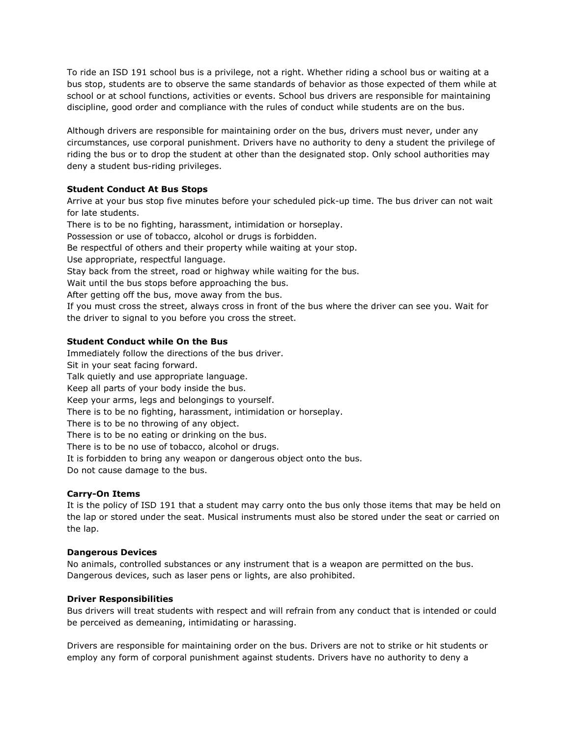To ride an ISD 191 school bus is a privilege, not a right. Whether riding a school bus or waiting at a bus stop, students are to observe the same standards of behavior as those expected of them while at school or at school functions, activities or events. School bus drivers are responsible for maintaining discipline, good order and compliance with the rules of conduct while students are on the bus.

Although drivers are responsible for maintaining order on the bus, drivers must never, under any circumstances, use corporal punishment. Drivers have no authority to deny a student the privilege of riding the bus or to drop the student at other than the designated stop. Only school authorities may deny a student bus-riding privileges.

## **Student Conduct At Bus Stops**

Arrive at your bus stop five minutes before your scheduled pick-up time. The bus driver can not wait for late students.

There is to be no fighting, harassment, intimidation or horseplay. Possession or use of tobacco, alcohol or drugs is forbidden.

Be respectful of others and their property while waiting at your stop.

Use appropriate, respectful language.

Stay back from the street, road or highway while waiting for the bus.

Wait until the bus stops before approaching the bus.

After getting off the bus, move away from the bus.

If you must cross the street, always cross in front of the bus where the driver can see you. Wait for the driver to signal to you before you cross the street.

## **Student Conduct while On the Bus**

Immediately follow the directions of the bus driver. Sit in your seat facing forward. Talk quietly and use appropriate language. Keep all parts of your body inside the bus. Keep your arms, legs and belongings to yourself. There is to be no fighting, harassment, intimidation or horseplay. There is to be no throwing of any object. There is to be no eating or drinking on the bus. There is to be no use of tobacco, alcohol or drugs. It is forbidden to bring any weapon or dangerous object onto the bus. Do not cause damage to the bus.

## **Carry-On Items**

It is the policy of ISD 191 that a student may carry onto the bus only those items that may be held on the lap or stored under the seat. Musical instruments must also be stored under the seat or carried on the lap.

#### **Dangerous Devices**

No animals, controlled substances or any instrument that is a weapon are permitted on the bus. Dangerous devices, such as laser pens or lights, are also prohibited.

## **Driver Responsibilities**

Bus drivers will treat students with respect and will refrain from any conduct that is intended or could be perceived as demeaning, intimidating or harassing.

Drivers are responsible for maintaining order on the bus. Drivers are not to strike or hit students or employ any form of corporal punishment against students. Drivers have no authority to deny a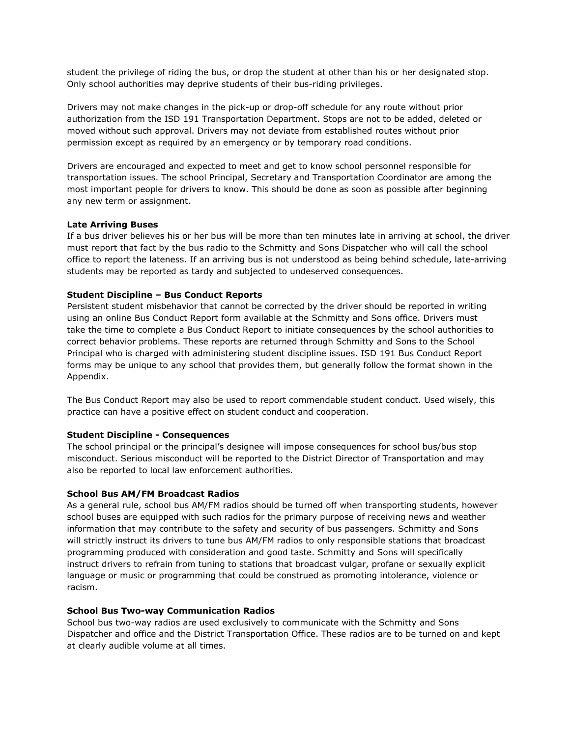student the privilege of riding the bus, or drop the student at other than his or her designated stop. Only school authorities may deprive students of their bus-riding privileges.

Drivers may not make changes in the pick-up or drop-off schedule for any route without prior authorization from the ISD 191 Transportation Department. Stops are not to be added, deleted or moved without such approval. Drivers may not deviate from established routes without prior permission except as required by an emergency or by temporary road conditions.

Drivers are encouraged and expected to meet and get to know school personnel responsible for transportation issues. The school Principal, Secretary and Transportation Coordinator are among the most important people for drivers to know. This should be done as soon as possible after beginning any new term or assignment.

## **Late Arriving Buses**

If a bus driver believes his or her bus will be more than ten minutes late in arriving at school, the driver must report that fact by the bus radio to the Schmitty and Sons Dispatcher who will call the school office to report the lateness. If an arriving bus is not understood as being behind schedule, late-arriving students may be reported as tardy and subjected to undeserved consequences.

## **Student Discipline – Bus Conduct Reports**

Persistent student misbehavior that cannot be corrected by the driver should be reported in writing using an online Bus Conduct Report form available at the Schmitty and Sons office. Drivers must take the time to complete a Bus Conduct Report to initiate consequences by the school authorities to correct behavior problems. These reports are returned through Schmitty and Sons to the School Principal who is charged with administering student discipline issues. ISD 191 Bus Conduct Report forms may be unique to any school that provides them, but generally follow the format shown in the Appendix.

The Bus Conduct Report may also be used to report commendable student conduct. Used wisely, this practice can have a positive effect on student conduct and cooperation.

## **Student Discipline - Consequences**

The school principal or the principal's designee will impose consequences for school bus/bus stop misconduct. Serious misconduct will be reported to the District Director of Transportation and may also be reported to local law enforcement authorities.

#### **School Bus AM/FM Broadcast Radios**

As a general rule, school bus AM/FM radios should be turned off when transporting students, however school buses are equipped with such radios for the primary purpose of receiving news and weather information that may contribute to the safety and security of bus passengers. Schmitty and Sons will strictly instruct its drivers to tune bus AM/FM radios to only responsible stations that broadcast programming produced with consideration and good taste. Schmitty and Sons will specifically instruct drivers to refrain from tuning to stations that broadcast vulgar, profane or sexually explicit language or music or programming that could be construed as promoting intolerance, violence or racism.

#### **School Bus Two-way Communication Radios**

School bus two-way radios are used exclusively to communicate with the Schmitty and Sons Dispatcher and office and the District Transportation Office. These radios are to be turned on and kept at clearly audible volume at all times.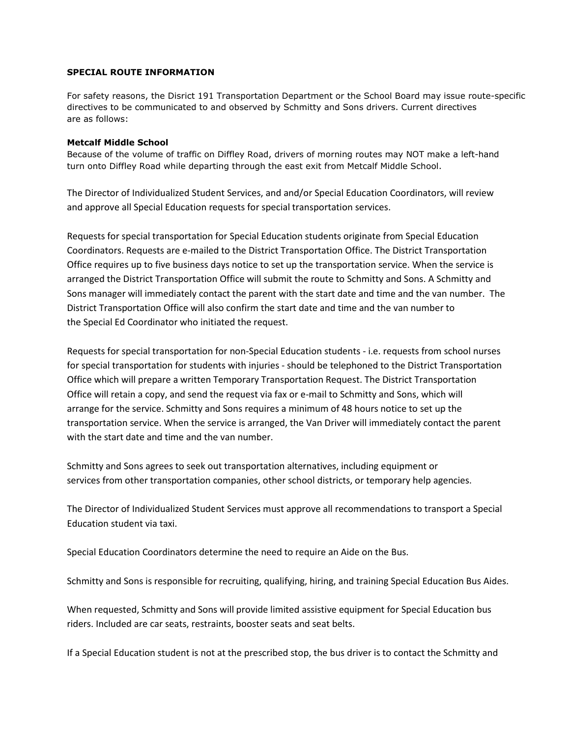## **SPECIAL ROUTE INFORMATION**

For safety reasons, the Disrict 191 Transportation Department or the School Board may issue route-specific directives to be communicated to and observed by Schmitty and Sons drivers. Current directives are as follows:

#### **Metcalf Middle School**

Because of the volume of traffic on Diffley Road, drivers of morning routes may NOT make a left-hand turn onto Diffley Road while departing through the east exit from Metcalf Middle School.

The Director of Individualized Student Services, and and/or Special Education Coordinators, will review and approve all Special Education requests for special transportation services.

Requests for special transportation for Special Education students originate from Special Education Coordinators. Requests are e-mailed to the District Transportation Office. The District Transportation Office requires up to five business days notice to set up the transportation service. When the service is arranged the District Transportation Office will submit the route to Schmitty and Sons. A Schmitty and Sons manager will immediately contact the parent with the start date and time and the van number. The District Transportation Office will also confirm the start date and time and the van number to the Special Ed Coordinator who initiated the request.

Requests for special transportation for non-Special Education students - i.e. requests from school nurses for special transportation for students with injuries - should be telephoned to the District Transportation Office which will prepare a written Temporary Transportation Request. The District Transportation Office will retain a copy, and send the request via fax or e-mail to Schmitty and Sons, which will arrange for the service. Schmitty and Sons requires a minimum of 48 hours notice to set up the transportation service. When the service is arranged, the Van Driver will immediately contact the parent with the start date and time and the van number.

Schmitty and Sons agrees to seek out transportation alternatives, including equipment or services from other transportation companies, other school districts, or temporary help agencies.

The Director of Individualized Student Services must approve all recommendations to transport a Special Education student via taxi.

Special Education Coordinators determine the need to require an Aide on the Bus.

Schmitty and Sons is responsible for recruiting, qualifying, hiring, and training Special Education Bus Aides.

When requested, Schmitty and Sons will provide limited assistive equipment for Special Education bus riders. Included are car seats, restraints, booster seats and seat belts.

If a Special Education student is not at the prescribed stop, the bus driver is to contact the Schmitty and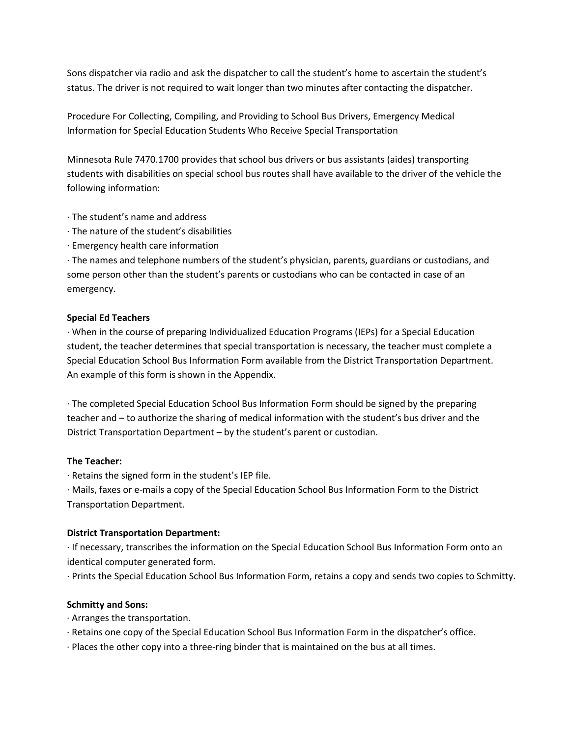Sons dispatcher via radio and ask the dispatcher to call the student's home to ascertain the student's status. The driver is not required to wait longer than two minutes after contacting the dispatcher.

Procedure For Collecting, Compiling, and Providing to School Bus Drivers, Emergency Medical Information for Special Education Students Who Receive Special Transportation

Minnesota Rule 7470.1700 provides that school bus drivers or bus assistants (aides) transporting students with disabilities on special school bus routes shall have available to the driver of the vehicle the following information:

- · The student's name and address
- · The nature of the student's disabilities
- · Emergency health care information

· The names and telephone numbers of the student's physician, parents, guardians or custodians, and some person other than the student's parents or custodians who can be contacted in case of an emergency.

# **Special Ed Teachers**

· When in the course of preparing Individualized Education Programs (IEPs) for a Special Education student, the teacher determines that special transportation is necessary, the teacher must complete a Special Education School Bus Information Form available from the District Transportation Department. An example of this form is shown in the Appendix.

· The completed Special Education School Bus Information Form should be signed by the preparing teacher and – to authorize the sharing of medical information with the student's bus driver and the District Transportation Department – by the student's parent or custodian.

# **The Teacher:**

· Retains the signed form in the student's IEP file.

· Mails, faxes or e-mails a copy of the Special Education School Bus Information Form to the District Transportation Department.

# **District Transportation Department:**

· If necessary, transcribes the information on the Special Education School Bus Information Form onto an identical computer generated form.

· Prints the Special Education School Bus Information Form, retains a copy and sends two copies to Schmitty.

# **Schmitty and Sons:**

- · Arranges the transportation.
- · Retains one copy of the Special Education School Bus Information Form in the dispatcher's office.
- · Places the other copy into a three-ring binder that is maintained on the bus at all times.